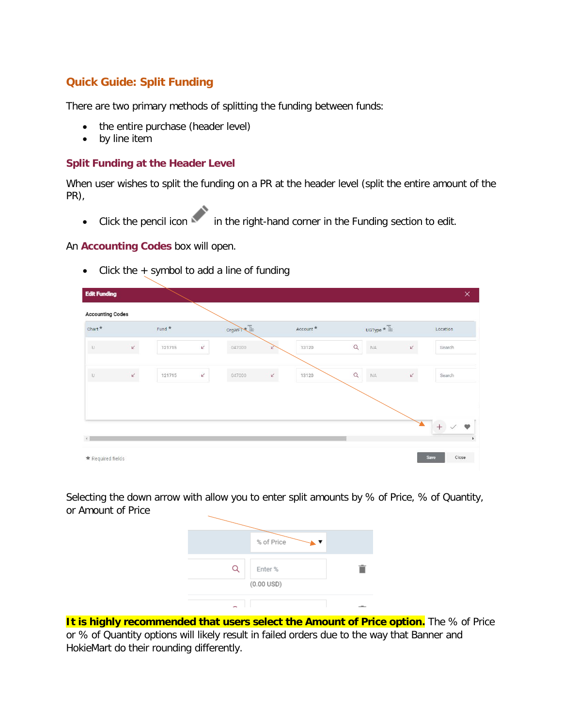## **Quick Guide: Split Funding**

There are two primary methods of splitting the funding between funds:

- the entire purchase (header level)
- by line item

#### **Split Funding at the Header Level**

When user wishes to split the funding on a PR at the header level (split the entire amount of the PR),

• Click the pencil icon in the right-hand corner in the Funding section to edit.

#### An **Accounting Codes** box will open.

• Click the + symbol to add a line of funding

| <b>Accounting Codes</b> |               |          |                                                     |           |                                        |          |
|-------------------------|---------------|----------|-----------------------------------------------------|-----------|----------------------------------------|----------|
| ${\rm Chart}$           |               | Fund $*$ | OrgWFT                                              | Account * | $_{\rm UGType} \star \Xi$              | Location |
| $\hat{\mathbf{u}}$      | $\mathcal{L}$ | 121715   | $\mathcal V$<br>047000<br>V                         | 13120     | $\mathcal{L}$<br>$\alpha$<br>NA        | Search   |
|                         |               |          |                                                     |           |                                        |          |
| $\hat{\mathbf{u}}$      | $\mathbf{k}$  | 121715   | $\overline{\mathscr{L}}$<br>$\mathcal{L}$<br>047000 | 13120     | $\mathcal{L}$<br>$\alpha$<br><b>NA</b> | Search   |
|                         |               |          |                                                     |           |                                        |          |
|                         |               |          |                                                     |           |                                        |          |
|                         |               |          |                                                     |           |                                        |          |
|                         |               |          |                                                     |           |                                        | $+$      |

Selecting the down arrow with allow you to enter split amounts by % of Price, % of Quantity, or Amount of Price

| % of Price             |  |
|------------------------|--|
|                        |  |
| Enter %                |  |
| $(0.00 \, \text{USD})$ |  |
|                        |  |
|                        |  |

**It is highly recommended that users select the Amount of Price option.** The % of Price or % of Quantity options will likely result in failed orders due to the way that Banner and HokieMart do their rounding differently.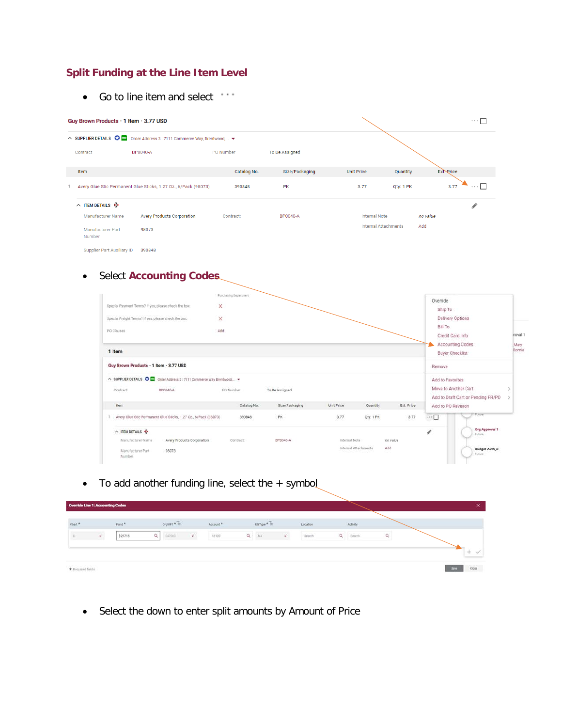## **Split Funding at the Line Item Level**

• Go to line item and select \*\*\*

|                                    | Guy Brown Products · 1 Item · 3.77 USD |                                                                            |             |                 | $\cdots$ $\Box$             |           |                       |
|------------------------------------|----------------------------------------|----------------------------------------------------------------------------|-------------|-----------------|-----------------------------|-----------|-----------------------|
|                                    |                                        | △ SUPPLIER DETAILS ● FOR Order Address 3 : 7111 Commerce Way, Brentwood, ▼ |             |                 |                             |           |                       |
|                                    | <b>BP0040-A</b><br>Contract            |                                                                            | PO Number   | To Be Assigned  |                             |           |                       |
|                                    | Item                                   |                                                                            | Catalog No. | Size/Packaging  | <b>Unit Price</b>           | Quantity  | Ext. Price            |
|                                    |                                        | Avery Glue Stic Permanent Glue Sticks, 1.27 Oz., 6/Pack (98073)            | 390848      | <b>PK</b>       | 3.77                        | Qty: 1 PK | $\cdots \Box$<br>3.77 |
|                                    | $\land$ ITEM DETAILS $\Theta$          |                                                                            |             |                 |                             |           |                       |
|                                    | Manufacturer Name                      | <b>Avery Products Corporation</b>                                          | Contract:   | <b>BP0040-A</b> | <b>Internal Note</b>        | no value  |                       |
| <b>Manufacturer Part</b><br>Number |                                        | 98073                                                                      |             |                 | <b>Internal Attachments</b> | Add       |                       |

Supplier Part Auxiliary ID 390848

# • Select **Accounting Codes**

| Special Payment Terms? If yes, please check the box.<br>Special Freight Terms? if yes, please check the box.<br>PO Clauses | Purchasing Department<br>×<br>×<br>Add |                |               |                             |            | Override<br>Ship To<br>Delivery Options<br>Bill To |                                    |                  |
|----------------------------------------------------------------------------------------------------------------------------|----------------------------------------|----------------|---------------|-----------------------------|------------|----------------------------------------------------|------------------------------------|------------------|
|                                                                                                                            |                                        |                |               |                             |            | Credit Card Info                                   | Accounting Codes                   | troval 1<br>Mary |
| 1 Item                                                                                                                     |                                        |                |               |                             |            | Buyer Checklist                                    |                                    | Bonnie           |
| Guy Brown Products · 1 Item · 3.77 USD                                                                                     |                                        |                |               |                             |            | Remove                                             |                                    |                  |
| A SUPPLIER DETAILS O CO Order Address 3: 7111 Commerce Way, Brentwood. -<br>Contract<br>BP0040-A                           | PO Number                              | To Be Assigned |               |                             |            | Add to Favorites<br>Move to Another Cart           | Add to Draft Cart or Pending PR/PO |                  |
| item                                                                                                                       | Catalog No.                            | Size/Packaging | Unit Price    | Quantity                    | Ext. Price | Add to PO Revision                                 |                                    |                  |
| Avery Glue Stic Permanent Glue Sticks, 1.27 Oz., 6/Pack (98073)                                                            | 390848                                 | PK             | 3.77          | Qty: 1 PK                   | 3.77       | $\cdots \Box$                                      | Future                             |                  |
| $\land$ ITEM DETAILS $\Theta$                                                                                              |                                        |                |               |                             |            | i                                                  | Org Approval 1<br>Fidure:          |                  |
| Manufacturer Name<br>Avery Products Corporation                                                                            | Contract:                              | BP0040-A       | Internal Note |                             | no value   |                                                    |                                    |                  |
| Manufacturer Part<br>98073<br>Number                                                                                       |                                        |                |               | Add<br>Internal Attachments |            |                                                    | <b>Budget Auth_2</b><br>Future     |                  |

• To add another funding line, select the + symbol

| <b>Override Line 1: Accounting Codes</b> |                 |                   |          |                   |       |                      |                     |    |          |          |           |  | $\times$      |
|------------------------------------------|-----------------|-------------------|----------|-------------------|-------|----------------------|---------------------|----|----------|----------|-----------|--|---------------|
| Chart*                                   |                 | Fund <sup>*</sup> |          | $0$ rgwF1 * $\pm$ |       | Account <sup>®</sup> | $\text{uorp} * \pm$ |    | Location |          | Activity: |  |               |
| 13.7                                     | $\mathcal{C}$ . | <b>821715</b>     | $\alpha$ | 047000            | i gir | 13120                | $Q$ $N_A$           | v. | Search   | $\alpha$ | Search    |  |               |
|                                          |                 |                   |          |                   |       |                      |                     |    |          |          |           |  | $-1$          |
| * Required fields                        |                 |                   |          |                   |       |                      |                     |    |          |          |           |  | Close<br>Save |

• Select the down to enter split amounts by Amount of Price